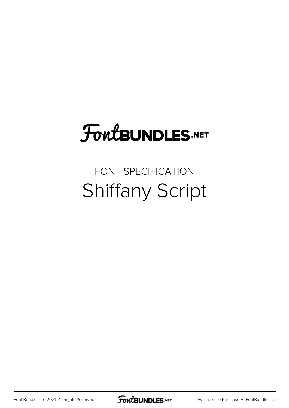## **FoutBUNDLES.NET**

## FONT SPECIFICATION Shiffany Script

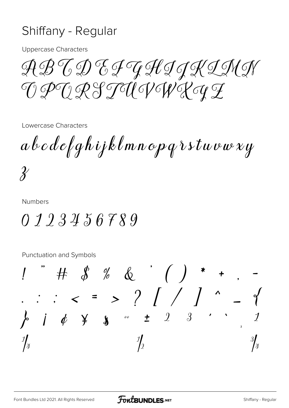## Shiffany - Regular

**Uppercase Characters** 

ABCDEJAJJKINN GPHRSTUIGHRAT

Lowercase Characters

 $a$  b  $c$  d e f g h i j k l m n o p q  $i$  s t u v w x y  $\chi$ 

**Numbers** 

## $0123456789$

**Punctuation and Symbols** 

 $\therefore$   $\therefore$   $\lt$  = > ? / / /  $\end{aligned}$  $\frac{1}{2}$   $\frac{1}{2}$  $\overline{3}$  '  $\int \phi \quad \frac{\gamma}{2} \quad$  $\frac{3}{4}$  $\frac{\eta}{2}$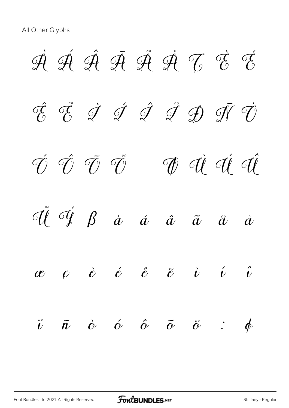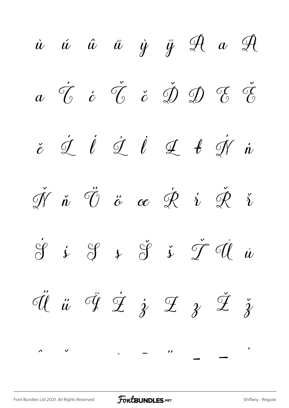$\dot{u}$   $\dot{u}$   $\ddot{u}$   $\dot{y}$   $\ddot{y}$   $\mathscr{A}$   $a$   $\mathscr{A}$  $\check{c}$   $\check{c}$   $\check{c}$   $\check{d}$   $\check{D}$   $\check{D}$   $\check{c}$   $\check{c}$  $\check{e}$   $\acute{\mathcal{I}}$   $\acute{\mathcal{I}}$   $\acute{\mathcal{I}}$   $\acute{\mathcal{I}}$   $\acute{\mathcal{I}}$   $\acute{\mathcal{I}}$   $\acute{\mathcal{I}}$   $\acute{\mathcal{I}}$   $\acute{\mathcal{I}}$   $\acute{\mathcal{I}}$   $\acute{\mathcal{I}}$  $\check{\mathscr{N}}$   $\check{\mathscr{U}}$   $\check{\mathscr{O}}$   $\check{\mathscr{C}}$   $\circledast$   $\check{\mathscr{C}}$   $\check{\mathscr{V}}$   $\check{\mathscr{V}}$   $\check{\mathscr{V}}$  $\circledast$  *i*  $\circledast$  *i*  $\circledast$  *i*  $\circledast$  *i*  $\circledast$  *i*  $\check{dl}$   $\ddot{u}$   $\check{q}$   $\dot{y}$   $\dot{z}$   $\dot{z}$   $\ddot{z}$   $\ddot{z}$  $\hat{a}$  ,  $\hat{b}$  ,  $\hat{c}$  ,  $\hat{c}$  ,  $\hat{c}$  ,  $\hat{c}$  ,  $\hat{c}$  ,  $\hat{c}$  ,  $\hat{c}$  ,  $\hat{c}$  ,  $\hat{c}$  ,  $\hat{c}$  ,  $\hat{c}$  ,  $\hat{c}$  ,  $\hat{c}$  ,  $\hat{c}$  ,  $\hat{c}$  ,  $\hat{c}$  ,  $\hat{c}$  ,  $\hat{c}$  ,  $\hat{c}$  ,  $\hat{c}$  ,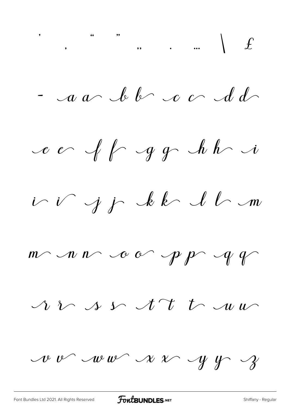$-$  a a bb c c dd

ce off gg hh i

i i j j kk ll n

 $m$  n  $n$  or  $p$   $p$   $q$ 

 $\Lambda$   $\sim$   $\Lambda$   $\sim$   $\Lambda$   $\mu$   $\sim$ 

 $\mathcal{A}$   $\mathcal{C}$   $\mathcal{A}$   $\mathcal{C}$   $\mathcal{A}$   $\mathcal{C}$   $\mathcal{C}$   $\mathcal{C}$   $\mathcal{C}$